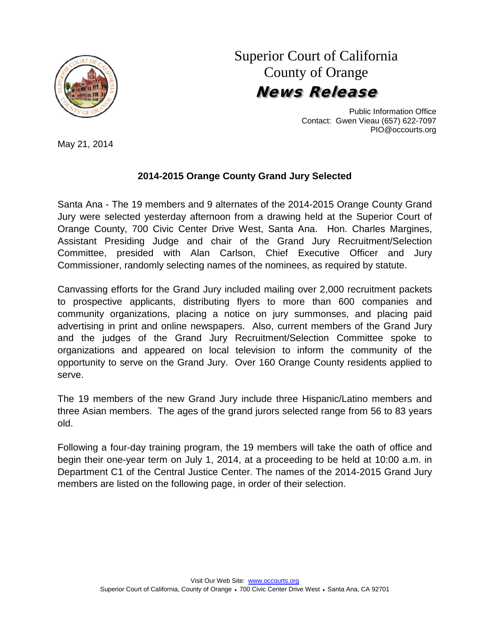

## Superior Court of California County of Orange News Release

Public Information Office Contact: Gwen Vieau (657) 622-7097 PIO@occourts.org

May 21, 2014

## **2014-2015 Orange County Grand Jury Selected**

Santa Ana - The 19 members and 9 alternates of the 2014-2015 Orange County Grand Jury were selected yesterday afternoon from a drawing held at the Superior Court of Orange County, 700 Civic Center Drive West, Santa Ana. Hon. Charles Margines, Assistant Presiding Judge and chair of the Grand Jury Recruitment/Selection Committee, presided with Alan Carlson, Chief Executive Officer and Jury Commissioner, randomly selecting names of the nominees, as required by statute.

Canvassing efforts for the Grand Jury included mailing over 2,000 recruitment packets to prospective applicants, distributing flyers to more than 600 companies and community organizations, placing a notice on jury summonses, and placing paid advertising in print and online newspapers. Also, current members of the Grand Jury and the judges of the Grand Jury Recruitment/Selection Committee spoke to organizations and appeared on local television to inform the community of the opportunity to serve on the Grand Jury. Over 160 Orange County residents applied to serve.

The 19 members of the new Grand Jury include three Hispanic/Latino members and three Asian members. The ages of the grand jurors selected range from 56 to 83 years old.

Following a four-day training program, the 19 members will take the oath of office and begin their one-year term on July 1, 2014, at a proceeding to be held at 10:00 a.m. in Department C1 of the Central Justice Center. The names of the 2014-2015 Grand Jury members are listed on the following page, in order of their selection.